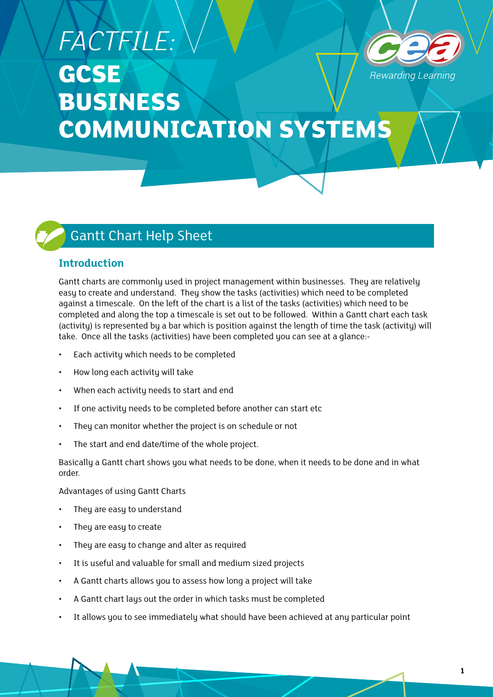## *FACTFILE:* **GCSE** *Rewarding Learning* **BUSINESS COMMUNICATION SYSTEMS**

## Gantt Chart Help Sheet

## **Introduction**

Gantt charts are commonly used in project management within businesses. They are relatively easy to create and understand. They show the tasks (activities) which need to be completed against a timescale. On the left of the chart is a list of the tasks (activities) which need to be completed and along the top a timescale is set out to be followed. Within a Gantt chart each task (activity) is represented by a bar which is position against the length of time the task (activity) will take. Once all the tasks (activities) have been completed you can see at a glance:-

- Each activity which needs to be completed
- How long each activity will take
- When each activity needs to start and end
- If one activity needs to be completed before another can start etc
- They can monitor whether the project is on schedule or not
- The start and end date/time of the whole project.

Basically a Gantt chart shows you what needs to be done, when it needs to be done and in what order.

Advantages of using Gantt Charts

- They are easy to understand
- They are easy to create
- They are easy to change and alter as required
- It is useful and valuable for small and medium sized projects
- A Gantt charts allows you to assess how long a project will take
- A Gantt chart lays out the order in which tasks must be completed
- It allows you to see immediately what should have been achieved at any particular point